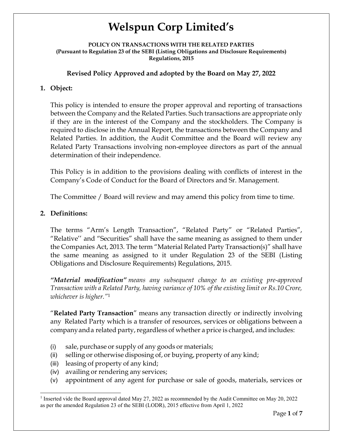POLICY ON TRANSACTIONS WITH THE RELATED PARTIES (Pursuant to Regulation 23 of the SEBI (Listing Obligations and Disclosure Requirements) Regulations, 2015

## Revised Policy Approved and adopted by the Board on May 27, 2022

## 1. Object:

This policy is intended to ensure the proper approval and reporting of transactions between the Company and the Related Parties. Such transactions are appropriate only if they are in the interest of the Company and the stockholders. The Company is required to disclose in the Annual Report, the transactions between the Company and Related Parties. In addition, the Audit Committee and the Board will review any Related Party Transactions involving non-employee directors as part of the annual determination of their independence.

This Policy is in addition to the provisions dealing with conflicts of interest in the Company's Code of Conduct for the Board of Directors and Sr. Management.

The Committee / Board will review and may amend this policy from time to time.

## 2. Definitions:

l

The terms "Arm's Length Transaction", "Related Party" or "Related Parties", "Relative'' and "Securities" shall have the same meaning as assigned to them under the Companies Act, 2013. The term "Material Related Party Transaction(s)" shall have the same meaning as assigned to it under Regulation 23 of the SEBI (Listing Obligations and Disclosure Requirements) Regulations, 2015.

"Material modification" means any subsequent change to an existing pre-approved Transaction with a Related Party, having variance of 10% of the existing limit or Rs.10 Crore, whichever is higher."<sup>1</sup>

"Related Party Transaction" means any transaction directly or indirectly involving any Related Party which is a transfer of resources, services or obligations between a company and a related party, regardless of whether a price is charged, and includes:

- (i) sale, purchase or supply of any goods or materials;
- (ii) selling or otherwise disposing of, or buying, property of any kind;
- (iii) leasing of property of any kind;
- (iv) availing or rendering any services;
- (v) appointment of any agent for purchase or sale of goods, materials, services or

<sup>&</sup>lt;sup>1</sup> Inserted vide the Board approval dated May 27, 2022 as recommended by the Audit Committee on May 20, 2022 as per the amended Regulation 23 of the SEBI (LODR), 2015 effective from April 1, 2022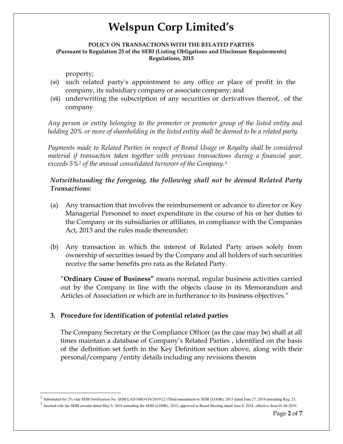#### POLICY ON TRANSACTIONS WITH THE RELATED PARTIES (Pursuant to Regulation 23 of the SEBI (Listing Obligations and Disclosure Requirements) Regulations, 2015

property;

l

- (vi) such related party's appointment to any office or place of profit in the company, its subsidiary company or associate company; and
- (vii) underwriting the subscription of any securities or derivatives thereof, of the company

Any person or entity belonging to the promoter or promoter group of the listed entity and holding 20% or more of shareholding in the listed entity shall be deemed to be a related party.

Payments made to Related Parties in respect of Brand Usage or Royalty shall be considered material if transaction taken together with previous transactions during a financial year, exceeds 5%<sup>2</sup> of the annual consolidated turnover of the Company.<sup>3</sup>

## Notwithstanding the foregoing, the following shall not be deemed Related Party Transactions:

- (a) Any transaction that involves the reimbursement or advance to director or Key Managerial Personnel to meet expenditure in the course of his or her duties to the Company or its subsidiaries or affiliates, in compliance with the Companies Act, 2013 and the rules made thereunder;
- (b) Any transaction in which the interest of Related Party arises solely from ownership of securities issued by the Company and all holders of such securities receive the same benefits pro rata as the Related Party.

"Ordinary Couse of Business" means normal, regular business activities carried out by the Company in line with the objects clause in its Memorandum and Articles of Association or which are in furtherance to its business objectives."

## 3. Procedure for identification of potential related parties

The Company Secretary or the Compliance Officer (as the case may be) shall at all times maintain a database of Company's Related Parties , identified on the basis of the definition set forth in the Key Definition section above, along with their personal/company /entity details including any revisions therein

<sup>2</sup> Substituted for 2% vide SEBI Notification No. SEBI/LAD-NRO/GN/2019/22 (Third amendment to SEBI (LODR), 2015 dated June 27, 2019 amending Reg. 23.

 $3$  Inserted vide the SEBI circular dated May 9, 2018 amending the SEBI (LODR), 2015, approved in Board Meeting dated June 8, 2018, effective from 01.04.2019.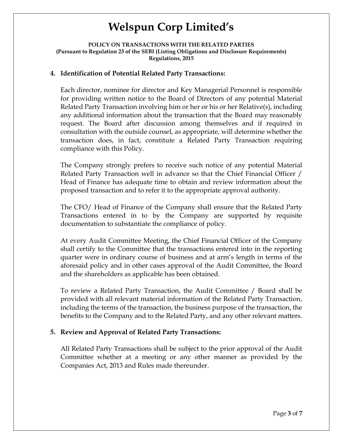#### POLICY ON TRANSACTIONS WITH THE RELATED PARTIES (Pursuant to Regulation 23 of the SEBI (Listing Obligations and Disclosure Requirements) Regulations, 2015

### 4. Identification of Potential Related Party Transactions:

Each director, nominee for director and Key Managerial Personnel is responsible for providing written notice to the Board of Directors of any potential Material Related Party Transaction involving him or her or his or her Relative(s), including any additional information about the transaction that the Board may reasonably request. The Board after discussion among themselves and if required in consultation with the outside counsel, as appropriate, will determine whether the transaction does, in fact, constitute a Related Party Transaction requiring compliance with this Policy.

The Company strongly prefers to receive such notice of any potential Material Related Party Transaction well in advance so that the Chief Financial Officer / Head of Finance has adequate time to obtain and review information about the proposed transaction and to refer it to the appropriate approval authority.

The CFO/ Head of Finance of the Company shall ensure that the Related Party Transactions entered in to by the Company are supported by requisite documentation to substantiate the compliance of policy.

At every Audit Committee Meeting, the Chief Financial Officer of the Company shall certify to the Committee that the transactions entered into in the reporting quarter were in ordinary course of business and at arm's length in terms of the aforesaid policy and in other cases approval of the Audit Committee, the Board and the shareholders as applicable has been obtained.

To review a Related Party Transaction, the Audit Committee / Board shall be provided with all relevant material information of the Related Party Transaction, including the terms of the transaction, the business purpose of the transaction, the benefits to the Company and to the Related Party, and any other relevant matters.

### 5. Review and Approval of Related Party Transactions:

All Related Party Transactions shall be subject to the prior approval of the Audit Committee whether at a meeting or any other manner as provided by the Companies Act, 2013 and Rules made thereunder.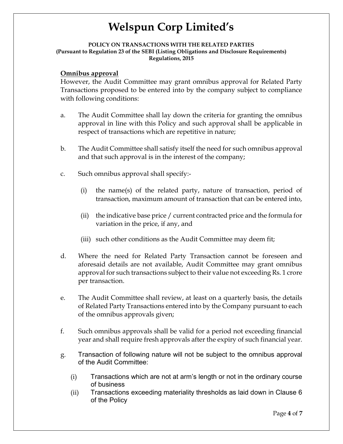#### POLICY ON TRANSACTIONS WITH THE RELATED PARTIES (Pursuant to Regulation 23 of the SEBI (Listing Obligations and Disclosure Requirements) Regulations, 2015

### Omnibus approval

However, the Audit Committee may grant omnibus approval for Related Party Transactions proposed to be entered into by the company subject to compliance with following conditions:

- a. The Audit Committee shall lay down the criteria for granting the omnibus approval in line with this Policy and such approval shall be applicable in respect of transactions which are repetitive in nature;
- b. The Audit Committee shall satisfy itself the need for such omnibus approval and that such approval is in the interest of the company;
- c. Such omnibus approval shall specify:-
	- (i) the name(s) of the related party, nature of transaction, period of transaction, maximum amount of transaction that can be entered into,
	- (ii) the indicative base price / current contracted price and the formula for variation in the price, if any, and
	- (iii) such other conditions as the Audit Committee may deem fit;
- d. Where the need for Related Party Transaction cannot be foreseen and aforesaid details are not available, Audit Committee may grant omnibus approval for such transactions subject to their value not exceeding Rs. 1 crore per transaction.
- e. The Audit Committee shall review, at least on a quarterly basis, the details of Related Party Transactions entered into by the Company pursuant to each of the omnibus approvals given;
- f. Such omnibus approvals shall be valid for a period not exceeding financial year and shall require fresh approvals after the expiry of such financial year.
- g. Transaction of following nature will not be subject to the omnibus approval of the Audit Committee:
	- (i) Transactions which are not at arm's length or not in the ordinary course of business
	- (ii) Transactions exceeding materiality thresholds as laid down in Clause 6 of the Policy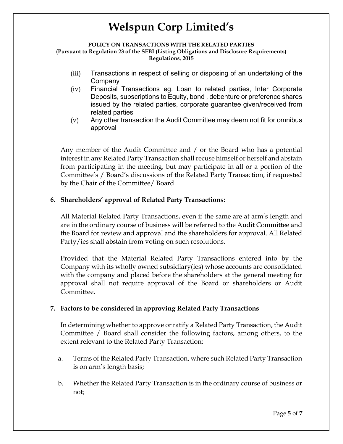#### POLICY ON TRANSACTIONS WITH THE RELATED PARTIES (Pursuant to Regulation 23 of the SEBI (Listing Obligations and Disclosure Requirements) Regulations, 2015

- (iii) Transactions in respect of selling or disposing of an undertaking of the Company
- (iv) Financial Transactions eg. Loan to related parties, Inter Corporate Deposits, subscriptions to Equity, bond , debenture or preference shares issued by the related parties, corporate guarantee given/received from related parties
- (v) Any other transaction the Audit Committee may deem not fit for omnibus approval

Any member of the Audit Committee and / or the Board who has a potential interest in any Related Party Transaction shall recuse himself or herself and abstain from participating in the meeting, but may participate in all or a portion of the Committee's / Board's discussions of the Related Party Transaction, if requested by the Chair of the Committee/ Board.

## 6. Shareholders' approval of Related Party Transactions:

All Material Related Party Transactions, even if the same are at arm's length and are in the ordinary course of business will be referred to the Audit Committee and the Board for review and approval and the shareholders for approval. All Related Party/ies shall abstain from voting on such resolutions.

Provided that the Material Related Party Transactions entered into by the Company with its wholly owned subsidiary(ies) whose accounts are consolidated with the company and placed before the shareholders at the general meeting for approval shall not require approval of the Board or shareholders or Audit Committee.

## 7. Factors to be considered in approving Related Party Transactions

In determining whether to approve or ratify a Related Party Transaction, the Audit Committee / Board shall consider the following factors, among others, to the extent relevant to the Related Party Transaction:

- a. Terms of the Related Party Transaction, where such Related Party Transaction is on arm's length basis;
- b. Whether the Related Party Transaction is in the ordinary course of business or not;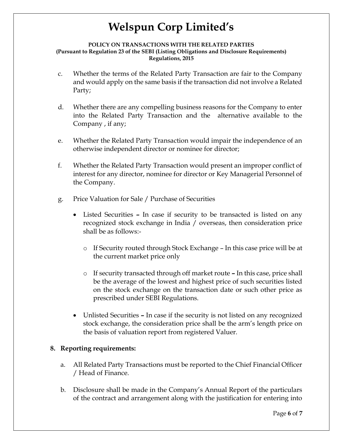#### POLICY ON TRANSACTIONS WITH THE RELATED PARTIES (Pursuant to Regulation 23 of the SEBI (Listing Obligations and Disclosure Requirements) Regulations, 2015

- c. Whether the terms of the Related Party Transaction are fair to the Company and would apply on the same basis if the transaction did not involve a Related Party;
- d. Whether there are any compelling business reasons for the Company to enter into the Related Party Transaction and the alternative available to the Company , if any;
- e. Whether the Related Party Transaction would impair the independence of an otherwise independent director or nominee for director;
- f. Whether the Related Party Transaction would present an improper conflict of interest for any director, nominee for director or Key Managerial Personnel of the Company.
- g. Price Valuation for Sale / Purchase of Securities
	- Listed Securities In case if security to be transacted is listed on any recognized stock exchange in India / overseas, then consideration price shall be as follows:-
		- $\circ$  If Security routed through Stock Exchange In this case price will be at the current market price only
		- o If security transacted through off market route In this case, price shall be the average of the lowest and highest price of such securities listed on the stock exchange on the transaction date or such other price as prescribed under SEBI Regulations.
	- Unlisted Securities In case if the security is not listed on any recognized stock exchange, the consideration price shall be the arm's length price on the basis of valuation report from registered Valuer.

### 8. Reporting requirements:

- a. All Related Party Transactions must be reported to the Chief Financial Officer / Head of Finance.
- b. Disclosure shall be made in the Company's Annual Report of the particulars of the contract and arrangement along with the justification for entering into